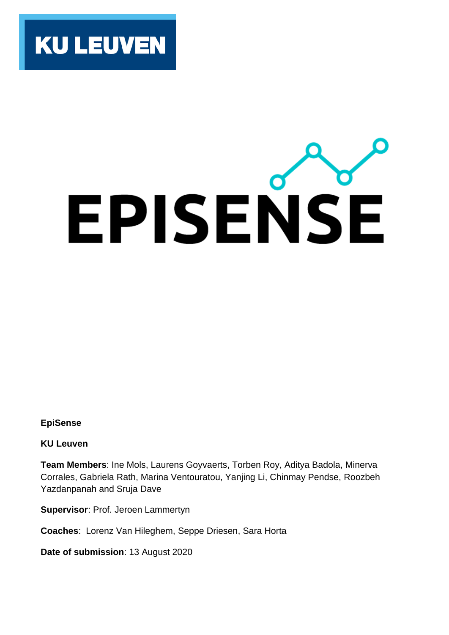

# EPISENSE

# **EpiSense**

**KU Leuven**

**Team Members**: Ine Mols, Laurens Goyvaerts, Torben Roy, Aditya Badola, Minerva Corrales, Gabriela Rath, Marina Ventouratou, Yanjing Li, Chinmay Pendse, Roozbeh Yazdanpanah and Sruja Dave

**Supervisor**: Prof. Jeroen Lammertyn

**Coaches**: Lorenz Van Hileghem, Seppe Driesen, Sara Horta

**Date of submission**: 13 August 2020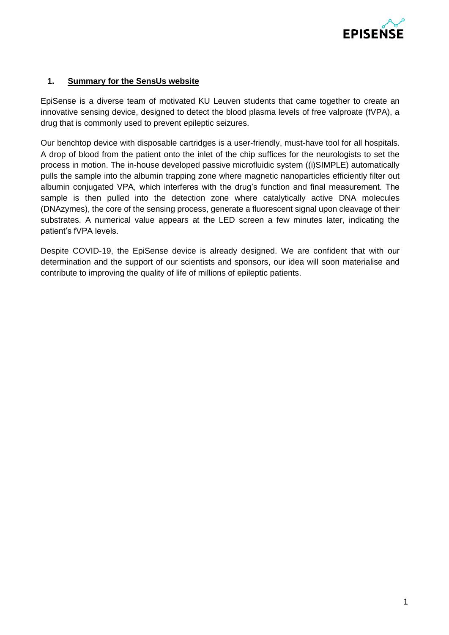

# **1. Summary for the SensUs website**

EpiSense is a diverse team of motivated KU Leuven students that came together to create an innovative sensing device, designed to detect the blood plasma levels of free valproate (fVPA), a drug that is commonly used to prevent epileptic seizures.

Our benchtop device with disposable cartridges is a user-friendly, must-have tool for all hospitals. A drop of blood from the patient onto the inlet of the chip suffices for the neurologists to set the process in motion. The in-house developed passive microfluidic system ((i)SIMPLE) automatically pulls the sample into the albumin trapping zone where magnetic nanoparticles efficiently filter out albumin conjugated VPA, which interferes with the drug's function and final measurement. The sample is then pulled into the detection zone where catalytically active DNA molecules (DNAzymes), the core of the sensing process, generate a fluorescent signal upon cleavage of their substrates. A numerical value appears at the LED screen a few minutes later, indicating the patient's fVPA levels.

Despite COVID-19, the EpiSense device is already designed. We are confident that with our determination and the support of our scientists and sponsors, our idea will soon materialise and contribute to improving the quality of life of millions of epileptic patients.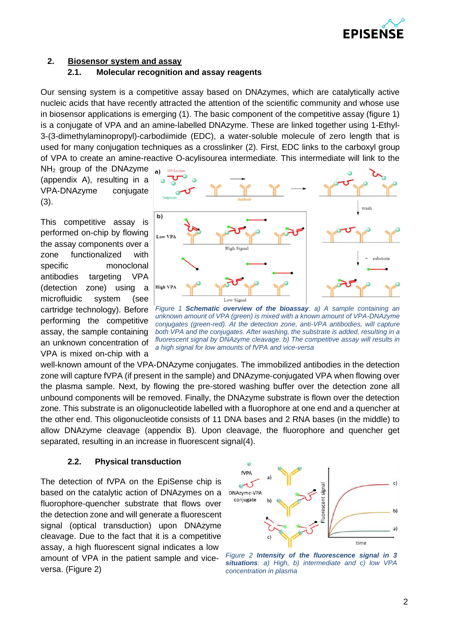

# **2. Biosensor system and assay**

## **2.1. Molecular recognition and assay reagents**

Our sensing system is a competitive assay based on DNAzymes, which are catalytically active nucleic acids that have recently attracted the attention of the scientific community and whose use in biosensor applications is emerging (1). The basic component of the competitive assay (figure 1) is a conjugate of VPA and an amine-labelled DNAzyme. These are linked together using 1-Ethyl-3-(3-dimethylaminopropyl)-carbodiimide (EDC), a water-soluble molecule of zero length that is used for many conjugation techniques as a crosslinker (2). First, EDC links to the carboxyl group of VPA to create an amine-reactive O-acylisourea intermediate. This intermediate will link to the

 $NH<sub>2</sub>$  group of the DNAzyme  $|_{ab}$ (appendix A), resulting in a VPA-DNAzyme conjugate (3).

This competitive assay is performed on-chip by flowing the assay components over a zone functionalized with specific monoclonal antibodies targeting VPA (detection zone) using a microfluidic system (see cartridge technology). Before performing the competitive assay, the sample containing an unknown concentration of VPA is mixed on-chip with a



*Figure 1 Schematic overview of the bioassay. a) A sample containing an unknown amount of VPA (green) is mixed with a known amount of VPA-DNAzyme conjugates (green-red). At the detection zone, anti-VPA antibodies, will capture both VPA and the conjugates. After washing, the substrate is added, resulting in a fluorescent signal by DNAzyme cleavage. b) The competitive assay will results in a high signal for low amounts of fVPA and vice-versa*

well-known amount of the VPA-DNAzyme conjugates. The immobilized antibodies in the detection zone will capture fVPA (if present in the sample) and DNAzyme-conjugated VPA when flowing over the plasma sample. Next, by flowing the pre-stored washing buffer over the detection zone all unbound components will be removed. Finally, the DNAzyme substrate is flown over the detection zone. This substrate is an oligonucleotide labelled with a fluorophore at one end and a quencher at the other end. This oligonucleotide consists of 11 DNA bases and 2 RNA bases (in the middle) to allow DNAzyme cleavage (appendix B). Upon cleavage, the fluorophore and quencher get separated, resulting in an increase in fluorescent signal(4).

## **2.2. Physical transduction**

The detection of fVPA on the EpiSense chip is based on the catalytic action of DNAzymes on a fluorophore-quencher substrate that flows over the detection zone and will generate a fluorescent signal (optical transduction) upon DNAzyme cleavage. Due to the fact that it is a competitive assay, a high fluorescent signal indicates a low amount of VPA in the patient sample and viceversa. (Figure 2)



*Figure 2 Intensity of the fluorescence signal in 3 situations: a) High, b) intermediate and c) low VPA concentration in plasma*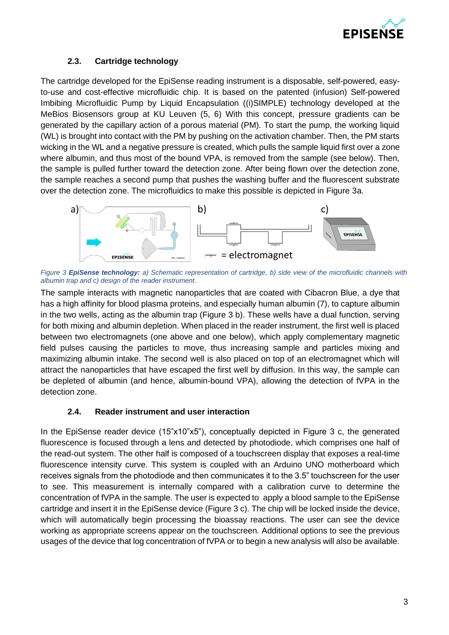

# **2.3. Cartridge technology**

The cartridge developed for the EpiSense reading instrument is a disposable, self-powered, easyto-use and cost-effective microfluidic chip. It is based on the patented (infusion) Self-powered Imbibing Microfluidic Pump by Liquid Encapsulation ((i)SIMPLE) technology developed at the MeBios Biosensors group at KU Leuven (5, 6) With this concept, pressure gradients can be generated by the capillary action of a porous material (PM). To start the pump, the working liquid (WL) is brought into contact with the PM by pushing on the activation chamber. Then, the PM starts wicking in the WL and a negative pressure is created, which pulls the sample liquid first over a zone where albumin, and thus most of the bound VPA, is removed from the sample (see below). Then, the sample is pulled further toward the detection zone. After being flown over the detection zone, the sample reaches a second pump that pushes the washing buffer and the fluorescent substrate over the detection zone. The microfluidics to make this possible is depicted in Figure 3a.



*Figure 3 EpiSense technology: a) Schematic representation of cartridge, b) side view of the microfluidic channels with albumin trap and c) design of the reader instrument.*

The sample interacts with magnetic nanoparticles that are coated with Cibacron Blue, a dye that has a high affinity for blood plasma proteins, and especially human albumin (7), to capture albumin in the two wells, acting as the albumin trap (Figure 3 b). These wells have a dual function, serving for both mixing and albumin depletion. When placed in the reader instrument, the first well is placed between two electromagnets (one above and one below), which apply complementary magnetic field pulses causing the particles to move, thus increasing sample and particles mixing and maximizing albumin intake. The second well is also placed on top of an electromagnet which will attract the nanoparticles that have escaped the first well by diffusion. In this way, the sample can be depleted of albumin (and hence, albumin-bound VPA), allowing the detection of fVPA in the detection zone.

# **2.4. Reader instrument and user interaction**

In the EpiSense reader device (15"x10"x5"), conceptually depicted in Figure 3 c, the generated fluorescence is focused through a lens and detected by photodiode, which comprises one half of the read-out system. The other half is composed of a touchscreen display that exposes a real-time fluorescence intensity curve. This system is coupled with an Arduino UNO motherboard which receives signals from the photodiode and then communicates it to the 3.5" touchscreen for the user to see. This measurement is internally compared with a calibration curve to determine the concentration of fVPA in the sample. The user is expected to apply a blood sample to the EpiSense cartridge and insert it in the EpiSense device (Figure 3 c). The chip will be locked inside the device, which will automatically begin processing the bioassay reactions. The user can see the device working as appropriate screens appear on the touchscreen. Additional options to see the previous usages of the device that log concentration of fVPA or to begin a new analysis will also be available.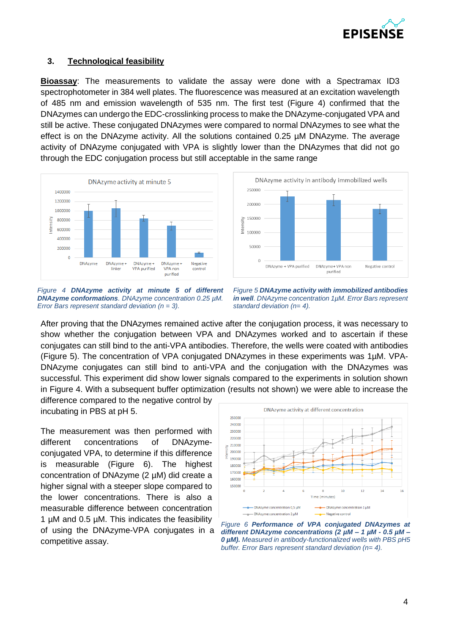

## **3. Technological feasibility**

**Bioassay**: The measurements to validate the assay were done with a Spectramax ID3 spectrophotometer in 384 well plates. The fluorescence was measured at an excitation wavelength of 485 nm and emission wavelength of 535 nm. The first test (Figure 4) confirmed that the DNAzymes can undergo the EDC-crosslinking process to make the DNAzyme-conjugated VPA and still be active. These conjugated DNAzymes were compared to normal DNAzymes to see what the effect is on the DNAzyme activity. All the solutions contained 0.25 µM DNAzyme. The average activity of DNAzyme conjugated with VPA is slightly lower than the DNAzymes that did not go through the EDC conjugation process but still acceptable in the same range





*Figure 4 DNAzyme activity at minute 5 of different DNAzyme conformations. DNAzyme concentration 0.25 µM. Error Bars represent standard deviation (n = 3).*

*Figure 5 DNAzyme activity with immobilized antibodies in well. DNAzyme concentration 1µM. Error Bars represent standard deviation (n= 4).*

After proving that the DNAzymes remained active after the conjugation process, it was necessary to show whether the conjugation between VPA and DNAzymes worked and to ascertain if these conjugates can still bind to the anti-VPA antibodies. Therefore, the wells were coated with antibodies (Figure 5). The concentration of VPA conjugated DNAzymes in these experiments was 1µM. VPA-DNAzyme conjugates can still bind to anti-VPA and the conjugation with the DNAzymes was successful. This experiment did show lower signals compared to the experiments in solution shown in Figure 4. With a subsequent buffer optimization (results not shown) we were able to increase the

difference compared to the negative control by incubating in PBS at pH 5.

The measurement was then performed with different concentrations of DNAzymeconjugated VPA, to determine if this difference is measurable (Figure 6). The highest concentration of DNAzyme (2 µM) did create a higher signal with a steeper slope compared to the lower concentrations. There is also a measurable difference between concentration 1 µM and 0.5 µM. This indicates the feasibility of using the DNAzyme-VPA conjugates in a competitive assay.



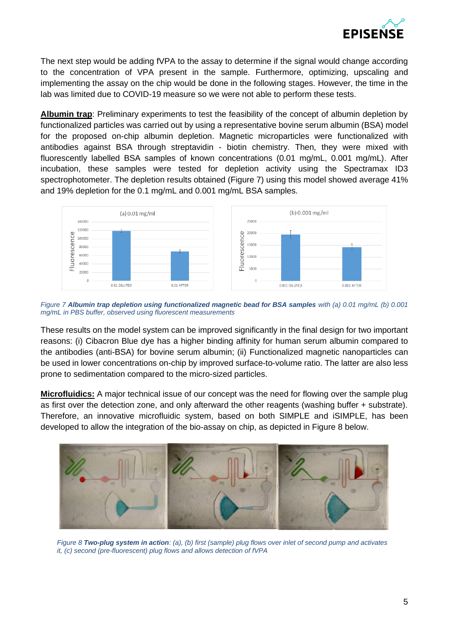

The next step would be adding fVPA to the assay to determine if the signal would change according to the concentration of VPA present in the sample. Furthermore, optimizing, upscaling and implementing the assay on the chip would be done in the following stages. However, the time in the lab was limited due to COVID-19 measure so we were not able to perform these tests.

**Albumin trap**: Preliminary experiments to test the feasibility of the concept of albumin depletion by functionalized particles was carried out by using a representative bovine serum albumin (BSA) model for the proposed on-chip albumin depletion. Magnetic microparticles were functionalized with antibodies against BSA through streptavidin - biotin chemistry. Then, they were mixed with fluorescently labelled BSA samples of known concentrations (0.01 mg/mL, 0.001 mg/mL). After incubation, these samples were tested for depletion activity using the Spectramax ID3 spectrophotometer. The depletion results obtained (Figure 7) using this model showed average 41% and 19% depletion for the 0.1 mg/mL and 0.001 mg/mL BSA samples.



*Figure 7 Albumin trap depletion using functionalized magnetic bead for BSA samples with (a) 0.01 mg/mL (b) 0.001 mg/mL in PBS buffer, observed using fluorescent measurements*

These results on the model system can be improved significantly in the final design for two important reasons: (i) Cibacron Blue dye has a higher binding affinity for human serum albumin compared to the antibodies (anti-BSA) for bovine serum albumin; (ii) Functionalized magnetic nanoparticles can be used in lower concentrations on-chip by improved surface-to-volume ratio. The latter are also less prone to sedimentation compared to the micro-sized particles.

**Microfluidics:** A major technical issue of our concept was the need for flowing over the sample plug as first over the detection zone, and only afterward the other reagents (washing buffer + substrate). Therefore, an innovative microfluidic system, based on both SIMPLE and iSIMPLE, has been developed to allow the integration of the bio-assay on chip, as depicted in Figure 8 below.



*Figure 8 Two-plug system in action: (a), (b) first (sample) plug flows over inlet of second pump and activates it, (c) second (pre-fluorescent) plug flows and allows detection of fVPA*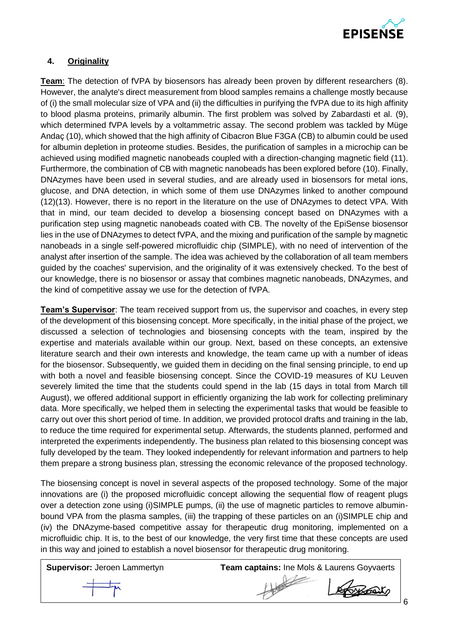

# **4. Originality**

**Team**: The detection of fVPA by biosensors has already been proven by different researchers (8). However, the analyte's direct measurement from blood samples remains a challenge mostly because of (i) the small molecular size of VPA and (ii) the difficulties in purifying the fVPA due to its high affinity to blood plasma proteins, primarily albumin. The first problem was solved by Zabardasti et al. (9), which determined fVPA levels by a voltammetric assay. The second problem was tackled by Müge Andaç (10), which showed that the high affinity of Cibacron Blue F3GA (CB) to albumin could be used for albumin depletion in proteome studies. Besides, the purification of samples in a microchip can be achieved using modified magnetic nanobeads coupled with a direction-changing magnetic field (11). Furthermore, the combination of CB with magnetic nanobeads has been explored before (10). Finally, DNAzymes have been used in several studies, and are already used in biosensors for metal ions, glucose, and DNA detection, in which some of them use DNAzymes linked to another compound (12)(13). However, there is no report in the literature on the use of DNAzymes to detect VPA. With that in mind, our team decided to develop a biosensing concept based on DNAzymes with a purification step using magnetic nanobeads coated with CB. The novelty of the EpiSense biosensor lies in the use of DNAzymes to detect fVPA, and the mixing and purification of the sample by magnetic nanobeads in a single self-powered microfluidic chip (SIMPLE), with no need of intervention of the analyst after insertion of the sample. The idea was achieved by the collaboration of all team members guided by the coaches' supervision, and the originality of it was extensively checked. To the best of our knowledge, there is no biosensor or assay that combines magnetic nanobeads, DNAzymes, and the kind of competitive assay we use for the detection of fVPA.

**Team's Supervisor**: The team received support from us, the supervisor and coaches, in every step of the development of this biosensing concept. More specifically, in the initial phase of the project, we discussed a selection of technologies and biosensing concepts with the team, inspired by the expertise and materials available within our group. Next, based on these concepts, an extensive literature search and their own interests and knowledge, the team came up with a number of ideas for the biosensor. Subsequently, we guided them in deciding on the final sensing principle, to end up with both a novel and feasible biosensing concept. Since the COVID-19 measures of KU Leuven severely limited the time that the students could spend in the lab (15 days in total from March till August), we offered additional support in efficiently organizing the lab work for collecting preliminary data. More specifically, we helped them in selecting the experimental tasks that would be feasible to carry out over this short period of time. In addition, we provided protocol drafts and training in the lab, to reduce the time required for experimental setup. Afterwards, the students planned, performed and interpreted the experiments independently. The business plan related to this biosensing concept was fully developed by the team. They looked independently for relevant information and partners to help them prepare a strong business plan, stressing the economic relevance of the proposed technology.

The biosensing concept is novel in several aspects of the proposed technology. Some of the major innovations are (i) the proposed microfluidic concept allowing the sequential flow of reagent plugs over a detection zone using (i)SIMPLE pumps, (ii) the use of magnetic particles to remove albuminbound VPA from the plasma samples, (iii) the trapping of these particles on an (i)SIMPLE chip and (iv) the DNAzyme-based competitive assay for therapeutic drug monitoring, implemented on a microfluidic chip. It is, to the best of our knowledge, the very first time that these concepts are used in this way and joined to establish a novel biosensor for therapeutic drug monitoring.

**Supervisor:** Jeroen Lammertyn **Team captains:** Ine Mols & Laurens Goyvaerts



6

ARAN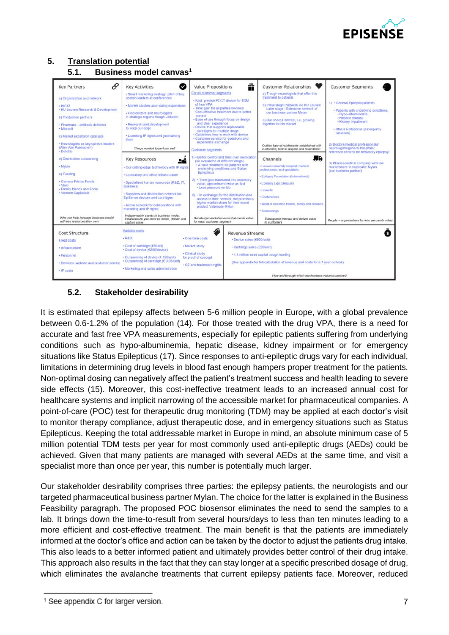

# **5. Translation potential**





# **5.2. Stakeholder desirability**

It is estimated that epilepsy affects between 5-6 million people in Europe, with a global prevalence between 0.6-1.2% of the population (14). For those treated with the drug VPA, there is a need for accurate and fast free VPA measurements, especially for epileptic patients suffering from underlying conditions such as hypo-albuminemia, hepatic disease, kidney impairment or for emergency situations like Status Epilepticus (17). Since responses to anti-epileptic drugs vary for each individual, limitations in determining drug levels in blood fast enough hampers proper treatment for the patients. Non-optimal dosing can negatively affect the patient's treatment success and health leading to severe side effects (15). Moreover, this cost-ineffective treatment leads to an increased annual cost for healthcare systems and implicit narrowing of the accessible market for pharmaceutical companies. A point-of-care (POC) test for therapeutic drug monitoring (TDM) may be applied at each doctor's visit to monitor therapy compliance, adjust therapeutic dose, and in emergency situations such as Status Epilepticus. Keeping the total addressable market in Europe in mind, an absolute minimum case of 5 million potential TDM tests per year for most commonly used anti-epileptic drugs (AEDs) could be achieved. Given that many patients are managed with several AEDs at the same time, and visit a specialist more than once per year, this number is potentially much larger.

Our stakeholder desirability comprises three parties: the epilepsy patients, the neurologists and our targeted pharmaceutical business partner Mylan. The choice for the latter is explained in the Business Feasibility paragraph. The proposed POC biosensor eliminates the need to send the samples to a lab. It brings down the time-to-result from several hours/days to less than ten minutes leading to a more efficient and cost-effective treatment. The main benefit is that the patients are immediately informed at the doctor's office and action can be taken by the doctor to adjust the patients drug intake. This also leads to a better informed patient and ultimately provides better control of their drug intake. This approach also results in the fact that they can stay longer at a specific prescribed dosage of drug, which eliminates the avalanche treatments that current epilepsy patients face. Moreover, reduced

<sup>&</sup>lt;sup>1</sup> See appendix C for larger version.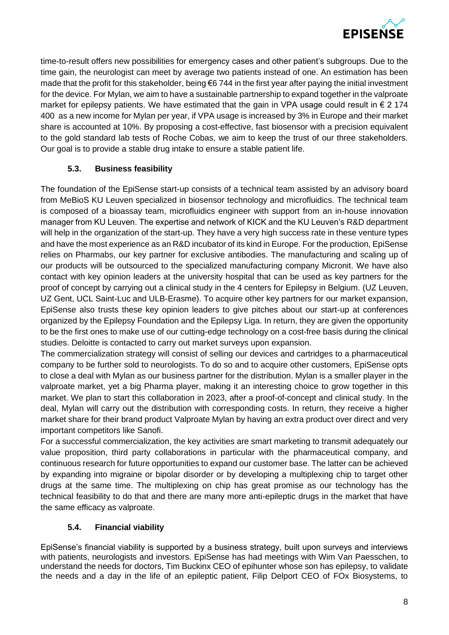

time-to-result offers new possibilities for emergency cases and other patient's subgroups. Due to the time gain, the neurologist can meet by average two patients instead of one. An estimation has been made that the profit for this stakeholder, being €6 744 in the first year after paying the initial investment for the device. For Mylan, we aim to have a sustainable partnership to expand together in the valproate market for epilepsy patients. We have estimated that the gain in VPA usage could result in  $\epsilon$  2 174 400 as a new income for Mylan per year, if VPA usage is increased by 3% in Europe and their market share is accounted at 10%. By proposing a cost-effective, fast biosensor with a precision equivalent to the gold standard lab tests of Roche Cobas, we aim to keep the trust of our three stakeholders. Our goal is to provide a stable drug intake to ensure a stable patient life.

# **5.3. Business feasibility**

The foundation of the EpiSense start-up consists of a technical team assisted by an advisory board from MeBioS KU Leuven specialized in biosensor technology and microfluidics. The technical team is composed of a bioassay team, microfluidics engineer with support from an in-house innovation manager from KU Leuven. The expertise and network of KICK and the KU Leuven's R&D department will help in the organization of the start-up. They have a very high success rate in these venture types and have the most experience as an R&D incubator of its kind in Europe. For the production, EpiSense relies on Pharmabs, our key partner for exclusive antibodies. The manufacturing and scaling up of our products will be outsourced to the specialized manufacturing company Micronit. We have also contact with key opinion leaders at the university hospital that can be used as key partners for the proof of concept by carrying out a clinical study in the 4 centers for Epilepsy in Belgium. (UZ Leuven, UZ Gent, UCL Saint-Luc and ULB-Erasme). To acquire other key partners for our market expansion, EpiSense also trusts these key opinion leaders to give pitches about our start-up at conferences organized by the Epilepsy Foundation and the Epilepsy Liga. In return, they are given the opportunity to be the first ones to make use of our cutting-edge technology on a cost-free basis during the clinical studies. Deloitte is contacted to carry out market surveys upon expansion.

The commercialization strategy will consist of selling our devices and cartridges to a pharmaceutical company to be further sold to neurologists. To do so and to acquire other customers, EpiSense opts to close a deal with Mylan as our business partner for the distribution. Mylan is a smaller player in the valproate market, yet a big Pharma player, making it an interesting choice to grow together in this market. We plan to start this collaboration in 2023, after a proof-of-concept and clinical study. In the deal, Mylan will carry out the distribution with corresponding costs. In return, they receive a higher market share for their brand product Valproate Mylan by having an extra product over direct and very important competitors like Sanofi.

For a successful commercialization, the key activities are smart marketing to transmit adequately our value proposition, third party collaborations in particular with the pharmaceutical company, and continuous research for future opportunities to expand our customer base. The latter can be achieved by expanding into migraine or bipolar disorder or by developing a multiplexing chip to target other drugs at the same time. The multiplexing on chip has great promise as our technology has the technical feasibility to do that and there are many more anti-epileptic drugs in the market that have the same efficacy as valproate.

# **5.4. Financial viability**

EpiSense's financial viability is supported by a business strategy, built upon surveys and interviews with patients, neurologists and investors. EpiSense has had meetings with Wim Van Paesschen, to understand the needs for doctors, Tim Buckinx CEO of epihunter whose son has epilepsy, to validate the needs and a day in the life of an epileptic patient, Filip Delport CEO of FOx Biosystems, to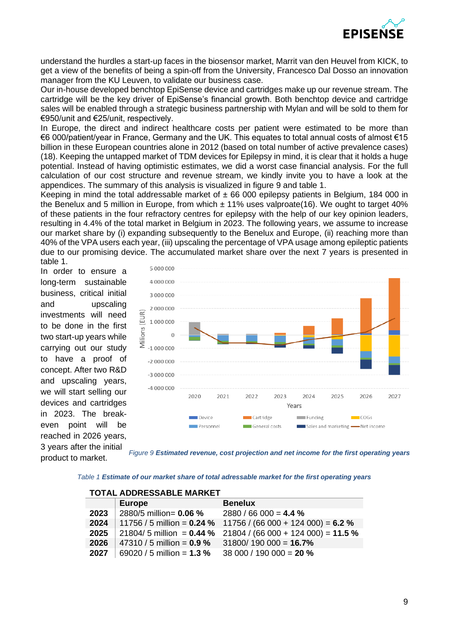

understand the hurdles a start-up faces in the biosensor market, Marrit van den Heuvel from KICK, to get a view of the benefits of being a spin-off from the University, Francesco Dal Dosso an innovation manager from the KU Leuven, to validate our business case.

Our in-house developed benchtop EpiSense device and cartridges make up our revenue stream. The cartridge will be the key driver of EpiSense's financial growth. Both benchtop device and cartridge sales will be enabled through a strategic business partnership with Mylan and will be sold to them for €950/unit and €25/unit, respectively.

In Europe, the direct and indirect healthcare costs per patient were estimated to be more than €6 000/patient/year in France, Germany and the UK. This equates to total annual costs of almost €15 billion in these European countries alone in 2012 (based on total number of active prevalence cases) (18). Keeping the untapped market of TDM devices for Epilepsy in mind, it is clear that it holds a huge potential. Instead of having optimistic estimates, we did a worst case financial analysis. For the full calculation of our cost structure and revenue stream, we kindly invite you to have a look at the appendices. The summary of this analysis is visualized in figure 9 and table 1.

Keeping in mind the total addressable market of  $\pm 66,000$  epilepsy patients in Belgium, 184,000 in the Benelux and 5 million in Europe, from which  $\pm$  11% uses valproate(16). We ought to target 40% of these patients in the four refractory centres for epilepsy with the help of our key opinion leaders, resulting in 4.4% of the total market in Belgium in 2023. The following years, we assume to increase our market share by (i) expanding subsequently to the Benelux and Europe, (ii) reaching more than 40% of the VPA users each year, (iii) upscaling the percentage of VPA usage among epileptic patients due to our promising device. The accumulated market share over the next 7 years is presented in table 1.

In order to ensure a long-term sustainable business, critical initial and upscaling investments will need to be done in the first two start-up years while carrying out our study to have a proof of concept. After two R&D and upscaling years, we will start selling our devices and cartridges in 2023. The breakeven point will be reached in 2026 years, 3 years after the initial product to market.



*Figure 9 Estimated revenue, cost projection and net income for the first operating years*

*Table 1 Estimate of our market share of total adressable market for the first operating years*

|      | <b>TOTAL ADDRESSABLE MARKET</b>           |                                                                  |
|------|-------------------------------------------|------------------------------------------------------------------|
|      | <b>Europe</b>                             | <b>Benelux</b>                                                   |
|      | <b>2023</b> 2880/5 million= <b>0.06</b> % | $2880/66000 = 4.4%$                                              |
| 2024 |                                           | 11756 / 5 million = $0.24 \%$ 11756 / (66 000 + 124 000) = 6.2 % |
| 2025 | 21804/ 5 million = $0.44$ %               | $21804 / (66000 + 124000) = 11.5 %$                              |
| 2026 | 47310 / 5 million = $0.9 \%$              | $31800/190000 = 16.7%$                                           |
| 2027 | 69020 / 5 million = $1.3 \%$              | 38 000 / 190 000 = 20 %                                          |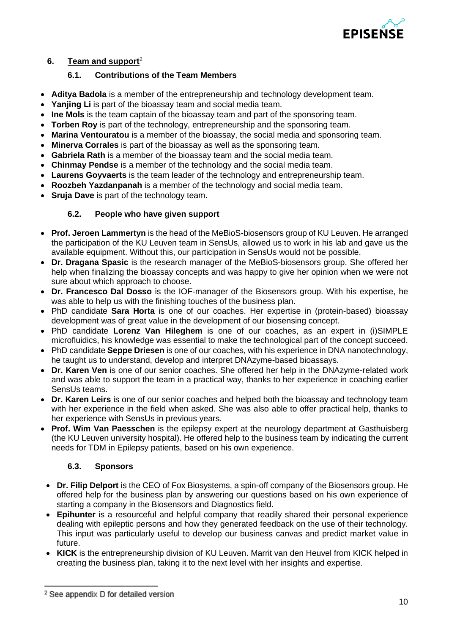

# **6. Team and support**<sup>2</sup>

## **6.1. Contributions of the Team Members**

- **Aditya Badola** is a member of the entrepreneurship and technology development team.
- **Yanjing Li** is part of the bioassay team and social media team.
- **Ine Mols** is the team captain of the bioassay team and part of the sponsoring team.
- **Torben Roy** is part of the technology, entrepreneurship and the sponsoring team.
- **Marina Ventouratou** is a member of the bioassay, the social media and sponsoring team.
- **Minerva Corrales** is part of the bioassay as well as the sponsoring team.
- **Gabriela Rath** is a member of the bioassay team and the social media team.
- **Chinmay Pendse** is a member of the technology and the social media team.
- **Laurens Goyvaerts** is the team leader of the technology and entrepreneurship team.
- **Roozbeh Yazdanpanah** is a member of the technology and social media team.
- **Sruja Dave** is part of the technology team.

# **6.2. People who have given support**

- **Prof. Jeroen Lammertyn** is the head of the MeBioS-biosensors group of KU Leuven. He arranged the participation of the KU Leuven team in SensUs, allowed us to work in his lab and gave us the available equipment. Without this, our participation in SensUs would not be possible.
- **Dr. Dragana Spasic** is the research manager of the MeBioS-biosensors group. She offered her help when finalizing the bioassay concepts and was happy to give her opinion when we were not sure about which approach to choose.
- **Dr. Francesco Dal Dosso** is the IOF-manager of the Biosensors group. With his expertise, he was able to help us with the finishing touches of the business plan.
- PhD candidate **Sara Horta** is one of our coaches. Her expertise in (protein-based) bioassay development was of great value in the development of our biosensing concept.
- PhD candidate **Lorenz Van Hileghem** is one of our coaches, as an expert in (i)SIMPLE microfluidics, his knowledge was essential to make the technological part of the concept succeed.
- PhD candidate **Seppe Driesen** is one of our coaches, with his experience in DNA nanotechnology, he taught us to understand, develop and interpret DNAzyme-based bioassays.
- **Dr. Karen Ven** is one of our senior coaches. She offered her help in the DNAzyme-related work and was able to support the team in a practical way, thanks to her experience in coaching earlier SensUs teams.
- **Dr. Karen Leirs** is one of our senior coaches and helped both the bioassay and technology team with her experience in the field when asked. She was also able to offer practical help, thanks to her experience with SensUs in previous years.
- **Prof. Wim Van Paesschen** is the epilepsy expert at the neurology department at Gasthuisberg (the KU Leuven university hospital). He offered help to the business team by indicating the current needs for TDM in Epilepsy patients, based on his own experience.

# **6.3. Sponsors**

- **Dr. Filip Delport** is the CEO of Fox Biosystems, a spin-off company of the Biosensors group. He offered help for the business plan by answering our questions based on his own experience of starting a company in the Biosensors and Diagnostics field.
- **Epihunter** is a resourceful and helpful company that readily shared their personal experience dealing with epileptic persons and how they generated feedback on the use of their technology. This input was particularly useful to develop our business canvas and predict market value in future.
- **KICK** is the entrepreneurship division of KU Leuven. Marrit van den Heuvel from KICK helped in creating the business plan, taking it to the next level with her insights and expertise.

<sup>&</sup>lt;sup>2</sup> See appendix D for detailed version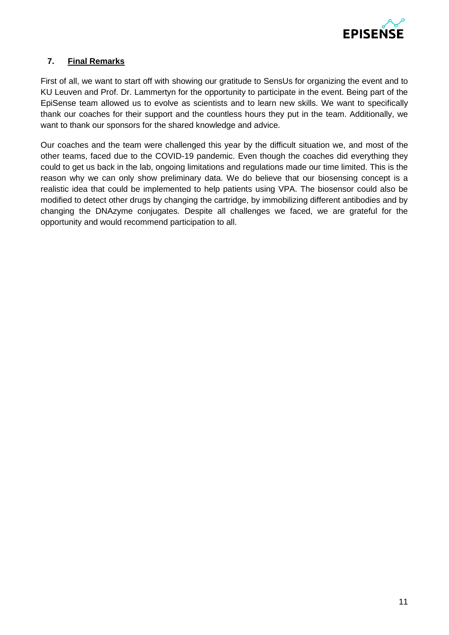

# **7. Final Remarks**

First of all, we want to start off with showing our gratitude to SensUs for organizing the event and to KU Leuven and Prof. Dr. Lammertyn for the opportunity to participate in the event. Being part of the EpiSense team allowed us to evolve as scientists and to learn new skills. We want to specifically thank our coaches for their support and the countless hours they put in the team. Additionally, we want to thank our sponsors for the shared knowledge and advice.

Our coaches and the team were challenged this year by the difficult situation we, and most of the other teams, faced due to the COVID-19 pandemic. Even though the coaches did everything they could to get us back in the lab, ongoing limitations and regulations made our time limited. This is the reason why we can only show preliminary data. We do believe that our biosensing concept is a realistic idea that could be implemented to help patients using VPA. The biosensor could also be modified to detect other drugs by changing the cartridge, by immobilizing different antibodies and by changing the DNAzyme conjugates. Despite all challenges we faced, we are grateful for the opportunity and would recommend participation to all.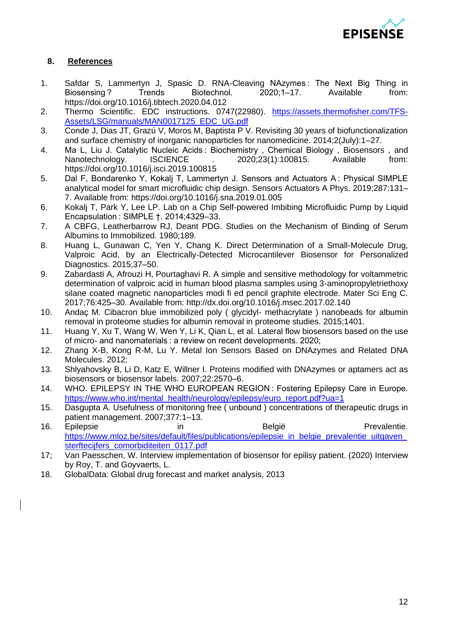

# **8. References**

- 1. Safdar S, Lammertyn J, Spasic D. RNA-Cleaving NAzymes: The Next Big Thing in Biosensing ? Trends Biotechnol. 2020;1–17. Available from: https://doi.org/10.1016/j.tibtech.2020.04.012
- 2. Thermo Scientific. EDC instructions. 0747(22980). [https://assets.thermofisher.com/TFS-](https://assets.thermofisher.com/TFS-Assets/LSG/manuals/MAN0017125_EDC_UG.pdf)[Assets/LSG/manuals/MAN0017125\\_EDC\\_UG.pdf](https://assets.thermofisher.com/TFS-Assets/LSG/manuals/MAN0017125_EDC_UG.pdf)
- 3. Conde J, Dias JT, Grazú V, Moros M, Baptista P V. Revisiting 30 years of biofunctionalization and surface chemistry of inorganic nanoparticles for nanomedicine. 2014;2(July):1–27.
- 4. Ma L, Liu J. Catalytic Nucleic Acids : Biochemistry , Chemical Biology , Biosensors , and Nanotechnology. ISCIENCE . 2020:23(1):100815. Available from: https://doi.org/10.1016/j.isci.2019.100815
- 5. Dal F, Bondarenko Y, Kokalj T, Lammertyn J. Sensors and Actuators A : Physical SIMPLE analytical model for smart microfluidic chip design. Sensors Actuators A Phys. 2019;287:131– 7. Available from: https://doi.org/10.1016/j.sna.2019.01.005
- 6. Kokalj T, Park Y, Lee LP. Lab on a Chip Self-powered Imbibing Microfluidic Pump by Liquid Encapsulation : SIMPLE †. 2014;4329–33.
- 7. A CBFG, Leatherbarrow RJ, Deant PDG. Studies on the Mechanism of Binding of Serum Albumins to Immobilized. 1980;189.
- 8. Huang L, Gunawan C, Yen Y, Chang K. Direct Determination of a Small-Molecule Drug, Valproic Acid, by an Electrically-Detected Microcantilever Biosensor for Personalized Diagnostics. 2015;37–50.
- 9. Zabardasti A, Afrouzi H, Pourtaghavi R. A simple and sensitive methodology for voltammetric determination of valproic acid in human blood plasma samples using 3-aminopropyletriethoxy silane coated magnetic nanoparticles modi fi ed pencil graphite electrode. Mater Sci Eng C. 2017;76:425–30. Available from: http://dx.doi.org/10.1016/j.msec.2017.02.140
- 10. Andaç M. Cibacron blue immobilized poly ( glycidyl- methacrylate ) nanobeads for albumin removal in proteome studies for albumin removal in proteome studies. 2015;1401.
- 11. Huang Y, Xu T, Wang W, Wen Y, Li K, Qian L, et al. Lateral flow biosensors based on the use of micro- and nanomaterials : a review on recent developments. 2020;
- 12. Zhang X-B, Kong R-M, Lu Y. Metal Ion Sensors Based on DNAzymes and Related DNA Molecules. 2012;
- 13. Shlyahovsky B, Li D, Katz E, Willner I. Proteins modified with DNAzymes or aptamers act as biosensors or biosensor labels. 2007;22:2570–6.
- 14. WHO. EPILEPSY IN THE WHO EUROPEAN REGION : Fostering Epilepsy Care in Europe. [https://www.who.int/mental\\_health/neurology/epilepsy/euro\\_report.pdf?ua=1](https://www.who.int/mental_health/neurology/epilepsy/euro_report.pdf?ua=1)
- 15. Dasgupta A. Usefulness of monitoring free ( unbound ) concentrations of therapeutic drugs in patient management. 2007;377:1–13.
- 16. Epilepsie in in België Prevalentie. https://www.mloz.be/sites/default/files/publications/epilepsie\_in\_belgie\_prevalentie\_uitgaven [sterftecijfers\\_comorbiditeiten\\_0117.pdf](https://www.mloz.be/sites/default/files/publications/epilepsie_in_belgie_prevalentie_uitgaven_sterftecijfers_comorbiditeiten_0117.pdf)
- 17; Van Paesschen, W. Interview implementation of biosensor for epilisy patient. (2020) Interview by Roy, T. and Goyvaerts, L.
- 18. GlobalData: Global drug forecast and market analysis, 2013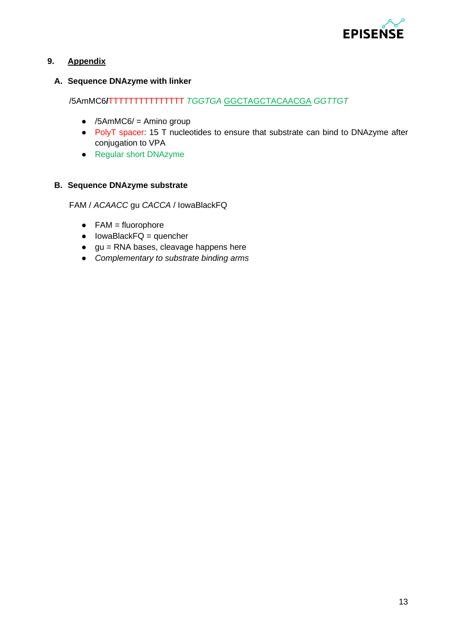

# **9. Appendix**

# **A. Sequence DNAzyme with linker**

# /5AmMC6**/**TTTTTTTTTTTTTTT *TGGTGA* GGCTAGCTACAACGA *GGTTGT*

- $\bullet$  /5AmMC6/ = Amino group
- PolyT spacer: 15 T nucleotides to ensure that substrate can bind to DNAzyme after conjugation to VPA
- Regular short DNAzyme

## **B. Sequence DNAzyme substrate**

FAM / *ACAACC* gu *CACCA* / IowaBlackFQ

- $\bullet$  FAM = fluorophore
- $\bullet$  lowaBlackFQ = quencher
- $\bullet$  gu = RNA bases, cleavage happens here
- *Complementary to substrate binding arms*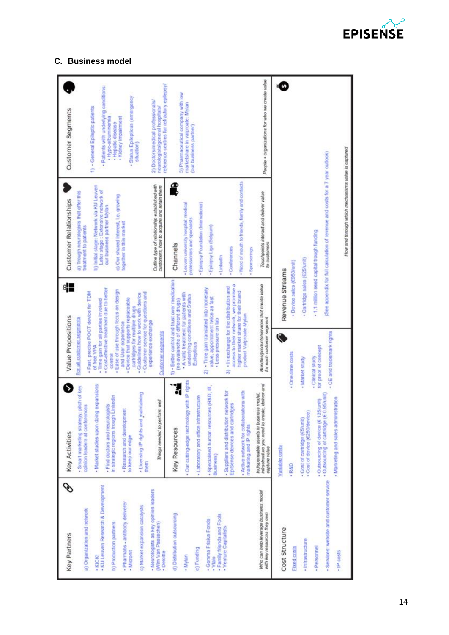

# **C. Business model**

| Key Partners                                                                                                | <b>Key Activities</b>                                                                                                                                  | Value Propositions                                                                                                                                                |                                               | Customer Relationships                                                                                                                                                         | Customer Segments                                                                                                                |
|-------------------------------------------------------------------------------------------------------------|--------------------------------------------------------------------------------------------------------------------------------------------------------|-------------------------------------------------------------------------------------------------------------------------------------------------------------------|-----------------------------------------------|--------------------------------------------------------------------------------------------------------------------------------------------------------------------------------|----------------------------------------------------------------------------------------------------------------------------------|
| . KU Leuven Research & Development<br>a) Organization and network<br>· KICK!                                | - Market studies upon doing expansions<br>pitch of key<br>Find doctors and neurologists<br>opinion leaders at conferences<br>Smart marketing strategy: | - Cost-effective treatment due to better<br>Fast, precise POCT device for TDM<br>- Time gain for all parties involved<br>For all customer segments<br>of free VPA |                                               | b) Initial stage: Network via KU Leuven<br>Later stage : Extensive network of<br>a) Trough neurologists that offer this<br>our business partner Mylan<br>treatment to patients | - Patients with underlying conditions:<br>1) - General Epileptic patients<br>· Hypo-albuminemia                                  |
| - Pharmabs - antibody deliverer<br>b) Production partners<br>- Micronit                                     | Linkedin<br>- Research and development<br>in strategic regions trough<br>to keep our edge                                                              | Ease of use through focus on design<br>Device that supports replaceable<br>cartridges for multiple drugs<br>and User experience<br>control                        |                                               | c) Our shared interest, i.e. growing<br>together in this market                                                                                                                | Status Epilepticus (emergency<br>· Kidney Impairment<br>· Hepatic disease                                                        |
| - Neurologists as key opinion leaders<br>c) Market expansion catalysts<br>(Wim Van Paesschen)<br>- Deloitte | - Licensing IP rights and maintaining<br>Things needed to perform well<br>them                                                                         | - Customer service for questions and<br>Guidelines how to work with device<br>experience exchange<br><b>Customer segments</b>                                     |                                               | Outline type of relationship established with<br>customers, how to acquire and retain them                                                                                     | reference centres for refractory epilepsy/<br>2) Doctors/medical professionals/<br>neurologists/general hospitals/<br>situation) |
| d) Distribution outsourcing<br>- Mylan                                                                      | ly with IP rights<br>Our cutting-edge technolog<br>Key Resources                                                                                       | 1) · Better control and trust over medication<br>- A vaild treatment for patients with<br>underlying conditions and Status<br>(no avalanche of different drugs)   |                                               | £<br>. Leuven university hospital: medical<br>professionals and specialists<br>Channels                                                                                        | 3) Pharmaceutical company with low<br>marketshare in valproate: Mylan<br>(our business partner)                                  |
| - Family friends and Fools<br>- Gemma Frisius Fonds<br>e) Funding<br>· Vlaio                                | - Specialised human resources (R&D, IT,<br>Laboratory and office infrastructure<br>Business)                                                           | 2) - Time gain translated into monetary<br>value, appointment twice as fast<br>- Less pressure on lab<br>Epilepticus                                              |                                               | · Epilepsy Foundation (International)<br>Epilepsy Liga (Belgium)                                                                                                               |                                                                                                                                  |
| - Venture Capitalists                                                                                       | - Suppliers and distribution network for<br>- Active network for collaborations with<br>EpiSense devices and cartridges<br>marketing and IP rights     | access to their network, we promise a<br>3) In exchange for the distribution and<br>higher market share for their brand<br>product Valproate Mylan                |                                               | Word of mouth to friends, family and contacts<br>· Conferences<br>Sponsorings<br>· Linkedin                                                                                    |                                                                                                                                  |
| Who can help leverage business model<br>with key resources they own                                         | infrastructure you need to create, deliver and<br>Indispensable assets in business model,<br>capture value                                             | Bundles/products/services that create value<br>for each customer segment                                                                                          |                                               | Touchpoints interact and deliver value<br>to customers                                                                                                                         | People + organizations for who we create value                                                                                   |
| Cost Structure<br>Fixed costs                                                                               | Variable costs<br>·R&D                                                                                                                                 | · One-lime costs                                                                                                                                                  | · Device sales (6950/unit)<br>Revenue Streams |                                                                                                                                                                                |                                                                                                                                  |
| - Infrastructure                                                                                            | - Cost of device (€250/device<br>- Cost of cartridge (E5/unit)                                                                                         | Market study                                                                                                                                                      | · Cartridge sales (€25/unit)                  |                                                                                                                                                                                |                                                                                                                                  |
| - Services: website and customer service<br>· Personnel<br>· IP costs                                       | - Outsourcing of device (€ 125/unit)<br>- Outsourcing of cartridge (€ 0.95/unit)<br>- Marketing and sales administration                               | - CE and trademark rights<br>for proof of concept<br>· Clinical study                                                                                             |                                               | (See appendix for full calculation of revenue and costs for a 7 year outlook)<br>11 million seed capital trough funding                                                        |                                                                                                                                  |
|                                                                                                             |                                                                                                                                                        |                                                                                                                                                                   |                                               | How and through which mechanisms value is captured                                                                                                                             |                                                                                                                                  |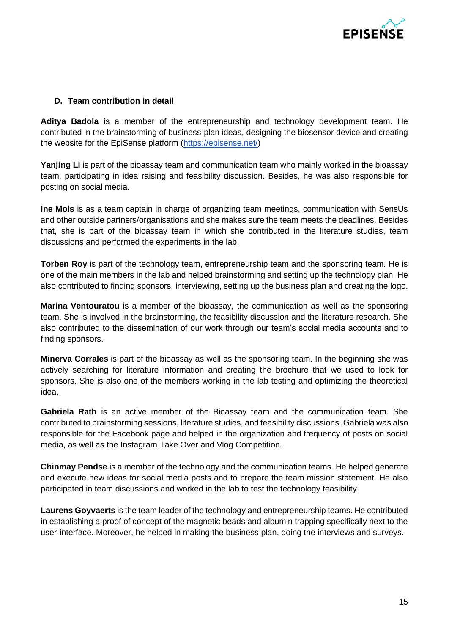

# **D. Team contribution in detail**

**Aditya Badola** is a member of the entrepreneurship and technology development team. He contributed in the brainstorming of business-plan ideas, designing the biosensor device and creating the website for the EpiSense platform [\(https://episense.net/\)](https://episense.net/)

**Yanjing Li** is part of the bioassay team and communication team who mainly worked in the bioassay team, participating in idea raising and feasibility discussion. Besides, he was also responsible for posting on social media.

**Ine Mols** is as a team captain in charge of organizing team meetings, communication with SensUs and other outside partners/organisations and she makes sure the team meets the deadlines. Besides that, she is part of the bioassay team in which she contributed in the literature studies, team discussions and performed the experiments in the lab.

**Torben Roy** is part of the technology team, entrepreneurship team and the sponsoring team. He is one of the main members in the lab and helped brainstorming and setting up the technology plan. He also contributed to finding sponsors, interviewing, setting up the business plan and creating the logo.

**Marina Ventouratou** is a member of the bioassay, the communication as well as the sponsoring team. She is involved in the brainstorming, the feasibility discussion and the literature research. She also contributed to the dissemination of our work through our team's social media accounts and to finding sponsors.

**Minerva Corrales** is part of the bioassay as well as the sponsoring team. In the beginning she was actively searching for literature information and creating the brochure that we used to look for sponsors. She is also one of the members working in the lab testing and optimizing the theoretical idea.

**Gabriela Rath** is an active member of the Bioassay team and the communication team. She contributed to brainstorming sessions, literature studies, and feasibility discussions. Gabriela was also responsible for the Facebook page and helped in the organization and frequency of posts on social media, as well as the Instagram Take Over and Vlog Competition.

**Chinmay Pendse** is a member of the technology and the communication teams. He helped generate and execute new ideas for social media posts and to prepare the team mission statement. He also participated in team discussions and worked in the lab to test the technology feasibility.

**Laurens Goyvaerts** is the team leader of the technology and entrepreneurship teams. He contributed in establishing a proof of concept of the magnetic beads and albumin trapping specifically next to the user-interface. Moreover, he helped in making the business plan, doing the interviews and surveys.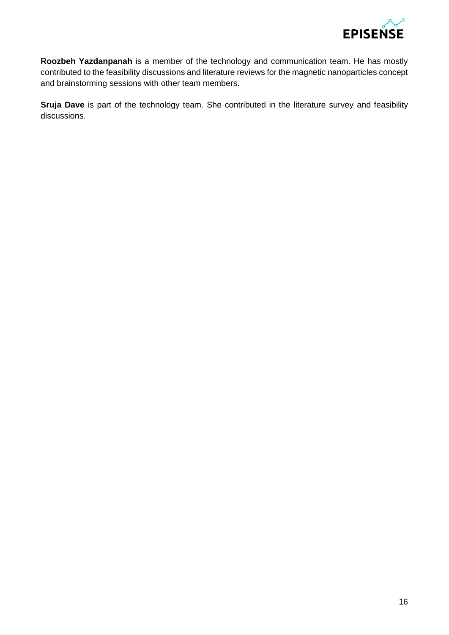

**Roozbeh Yazdanpanah** is a member of the technology and communication team. He has mostly contributed to the feasibility discussions and literature reviews for the magnetic nanoparticles concept and brainstorming sessions with other team members.

**Sruja Dave** is part of the technology team. She contributed in the literature survey and feasibility discussions.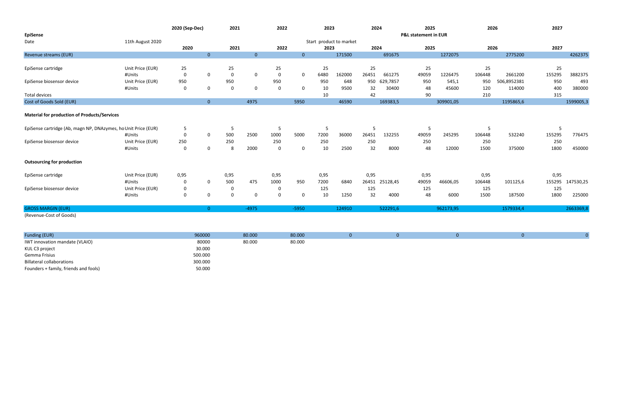| <b>EpiSense</b>                                                |                  | 2020 (Sep-Dec) |                | 2021        |                | 2022           |                | 2023 |                         | 2024  |          | 2025<br><b>P&amp;L statement in EUR</b> |           | 2026           |             | 2027   |           |
|----------------------------------------------------------------|------------------|----------------|----------------|-------------|----------------|----------------|----------------|------|-------------------------|-------|----------|-----------------------------------------|-----------|----------------|-------------|--------|-----------|
| Date                                                           | 11th August 2020 |                |                |             |                |                |                |      | Start product to market |       |          |                                         |           |                |             |        |           |
|                                                                |                  | 2020           |                | 2021        |                | 2022           |                | 2023 |                         | 2024  |          | 2025                                    |           |                | 2026        | 2027   |           |
| Revenue streams (EUR)                                          |                  |                | $\overline{0}$ |             | $\overline{0}$ |                | $\overline{0}$ |      | 171500                  |       | 691675   |                                         | 1272075   |                | 2775200     |        | 4262375   |
|                                                                |                  |                |                |             |                |                |                |      |                         |       |          |                                         |           |                |             |        |           |
| EpiSense cartridge                                             | Unit Price (EUR) | 25             |                | 25          |                | 25             |                | 25   |                         | 25    |          | 25                                      |           | 25             |             | 25     |           |
|                                                                | #Units           | 0              | $\overline{0}$ | $\mathbf 0$ | $\overline{0}$ | $\overline{0}$ | $\mathbf 0$    | 6480 | 162000                  | 26451 | 661275   | 49059                                   | 1226475   | 106448         | 2661200     | 155295 | 3882375   |
| EpiSense biosensor device                                      | Unit Price (EUR) | 950            |                | 950         |                | 950            |                | 950  | 648                     | 950   | 629,7857 | 950                                     | 545,1     | 950            | 506,8952381 | 950    | 493       |
|                                                                | #Units           | $\mathbf 0$    | $\mathbf 0$    | $\mathbf 0$ | $\overline{0}$ | $\mathbf 0$    | $\mathbf 0$    | 10   | 9500                    | 32    | 30400    | 48                                      | 45600     | 120            | 114000      | 400    | 380000    |
| <b>Total devices</b>                                           |                  |                |                |             |                |                |                | 10   |                         | 42    |          | 90                                      |           | 210            |             | 315    |           |
| Cost of Goods Sold (EUR)                                       |                  |                | $\overline{0}$ |             | 4975           |                | 5950           |      | 46590                   |       | 169383,5 |                                         | 309901,05 |                | 1195865,6   |        | 1599005,3 |
| <b>Material for production of Products/Services</b>            |                  |                |                |             |                |                |                |      |                         |       |          |                                         |           |                |             |        |           |
| EpiSense cartridge (Ab, magn NP, DNAzymes, ho Unit Price (EUR) |                  | 5              |                | 5           |                | 5              |                | 5    |                         | 5     |          | 5                                       |           | $\overline{5}$ |             | 5      |           |
|                                                                | #Units           | 0              | $\mathbf 0$    | 500         | 2500           | 1000           | 5000           | 7200 | 36000                   | 26451 | 132255   | 49059                                   | 245295    | 106448         | 532240      | 155295 | 776475    |
| EpiSense biosensor device                                      | Unit Price (EUR) | 250            |                | 250         |                | 250            |                | 250  |                         | 250   |          | 250                                     |           | 250            |             | 250    |           |
|                                                                | #Units           | 0              | $\mathbf 0$    | 8           | 2000           | $\mathbf 0$    | $\mathbf 0$    | 10   | 2500                    | 32    | 8000     | 48                                      | 12000     | 1500           | 375000      | 1800   | 450000    |
| <b>Outsourcing for production</b>                              |                  |                |                |             |                |                |                |      |                         |       |          |                                         |           |                |             |        |           |
| EpiSense cartridge                                             | Unit Price (EUR) | 0,95           |                | 0,95        |                | 0,95           |                | 0,95 |                         | 0,95  |          | 0,95                                    |           | 0,95           |             | 0,95   |           |
|                                                                | #Units           | 0              | $\mathbf 0$    | 500         | 475            | 1000           | 950            | 7200 | 6840                    | 26451 | 25128,45 | 49059                                   | 46606,05  | 106448         | 101125,6    | 155295 | 147530,25 |
| EpiSense biosensor device                                      | Unit Price (EUR) | 0              |                | 0           |                | 0              |                | 125  |                         | 125   |          | 125                                     |           | 125            |             | 125    |           |
|                                                                | #Units           | $\mathbf 0$    | $\overline{0}$ | $\mathbf 0$ | $\overline{0}$ | $\mathbf 0$    | $\mathbf 0$    | 10   | 1250                    | 32    | 4000     | 48                                      | 6000      | 1500           | 187500      | 1800   | 225000    |
| <b>GROSS MARGIN (EUR)</b>                                      |                  |                | $\overline{0}$ |             | $-4975$        |                | $-5950$        |      | 124910                  |       | 522291,6 |                                         | 962173,95 |                | 1579334,4   |        | 2663369,8 |
| (Revenue-Cost of Goods)                                        |                  |                |                |             |                |                |                |      |                         |       |          |                                         |           |                |             |        |           |

|--|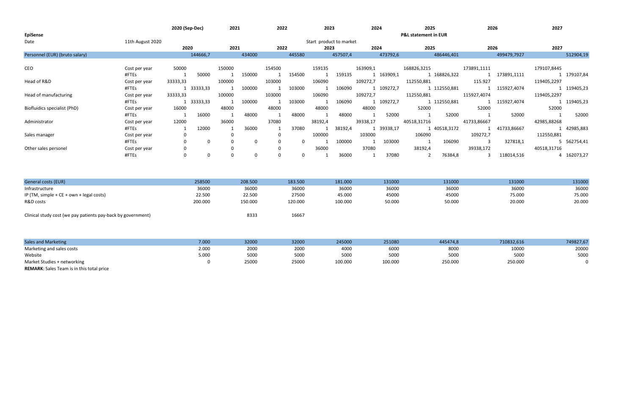| <b>EpiSense</b>                |                  | 2020 (Sep-Dec) |            | 2021   |        | 2022   |        | 2023                    |          | 2024     |            | 2025<br><b>P&amp;L statement in EUR</b> |              | 2026        |             | 2027        |             |
|--------------------------------|------------------|----------------|------------|--------|--------|--------|--------|-------------------------|----------|----------|------------|-----------------------------------------|--------------|-------------|-------------|-------------|-------------|
| Date                           | 11th August 2020 |                |            |        |        |        |        | Start product to market |          |          |            |                                         |              |             |             |             |             |
|                                |                  | 2020           |            | 2021   |        | 2022   |        | 2023                    |          | 2024     |            | 2025                                    |              | 2026        |             | 2027        |             |
| Personnel (EUR) (bruto salary) |                  |                | 144666,7   |        | 434000 |        | 445580 |                         | 457507,4 |          | 473792,6   |                                         | 486446,401   |             | 499479,7927 |             | 512904,19   |
|                                |                  |                |            |        |        |        |        |                         |          |          |            |                                         |              |             |             |             |             |
| CEO                            | Cost per year    | 50000          |            | 150000 |        | 154500 |        | 159135                  |          | 163909,1 |            | 168826,3215                             |              | 173891,1111 |             | 179107,8445 |             |
|                                | #FTEs            |                | 50000      |        | 150000 |        | 154500 |                         | 159135   |          | 1 163909,1 |                                         | 1 168826,322 |             | 173891,1111 |             | 1 179107,84 |
| Head of R&D                    | Cost per year    | 33333,33       |            | 100000 |        | 103000 |        | 106090                  |          | 109272,7 |            | 112550,881                              |              | 115.927     |             | 119405,2297 |             |
|                                | #FTEs            |                | 1 33333,33 |        | 100000 |        | 103000 |                         | 106090   |          | 1 109272,7 |                                         | 1 112550,881 |             | 115927,4074 |             | 1 119405,23 |
| Head of manufacturing          | Cost per year    | 33333,33       |            | 100000 |        | 103000 |        | 106090                  |          | 109272,7 |            | 112550,881                              |              | 115927,4074 |             | 119405,2297 |             |
|                                | #FTEs            |                | 1 33333,33 |        | 100000 |        | 103000 |                         | 106090   |          | 1 109272,7 |                                         | 1 112550,881 |             | 115927,4074 |             | 1 119405,23 |
| Biofluidics specialist (PhD)   | Cost per year    | 16000          |            | 48000  |        | 48000  |        | 48000                   |          | 48000    |            | 52000                                   |              | 52000       |             | 52000       |             |
|                                | #FTEs            |                | 16000      |        | 48000  |        | 48000  |                         | 48000    |          | 52000      |                                         | 52000        |             | 52000       |             | 52000       |
| Administrator                  | Cost per year    | 12000          |            | 36000  |        | 37080  |        | 38192,4                 |          | 39338,17 |            | 40518,31716                             |              | 41733,86667 |             | 42985,88268 |             |
|                                | #FTEs            |                | 12000      |        | 36000  |        | 37080  |                         | 38192,4  |          | 1 39338,17 |                                         | 1 40518,3172 |             | 41733,86667 |             | 1 42985,883 |
| Sales manager                  | Cost per year    |                |            |        |        |        |        | 100000                  |          | 103000   |            | 106090                                  |              | 109272,7    |             | 112550,881  |             |
|                                | #FTEs            |                |            |        |        |        |        |                         | 100000   |          | 103000     |                                         | 106090       |             | 327818,1    |             | 5 562754,41 |
| Other sales personel           | Cost per year    |                |            |        |        |        |        | 36000                   |          | 37080    |            | 38192,4                                 |              | 39338,172   |             | 40518,31716 |             |
|                                | #FTEs            | 0              |            |        |        |        |        |                         | 36000    |          | 37080      |                                         | 76384,8      |             | 118014,516  |             | 4 162073,27 |

| <b>General costs (EUR)</b>                                   | 258500  | 208.500 | 183.500 | 181.000 | 131000 | 131000 | 131000 | 131000 |
|--------------------------------------------------------------|---------|---------|---------|---------|--------|--------|--------|--------|
| Infrastructure                                               | 36000   | 36000   | 36000   | 36000   | 36000  | 36000  | 36000  | 36000  |
| IP (TM, simple + $CE$ + own + legal costs)                   | 22.500  | 22.500  | 27500   | 45.000  | 45000  | 45000  | 75.000 | 75.000 |
| R&D costs                                                    | 200.000 | 150.000 | 120.000 | 100.000 | 50.000 | 50.000 | 20.000 | 20.000 |
|                                                              |         |         |         |         |        |        |        |        |
| Clinical study cost (we pay patients pay-back by government) |         | 8333    | 16667   |         |        |        |        |        |

| <b>Sales and Marketing</b>                       | 7.000 | 32000 | 32000 | 245000  | 251080      | 445474,8 | 710832,616 | 749827,67 |
|--------------------------------------------------|-------|-------|-------|---------|-------------|----------|------------|-----------|
| Marketing and sales costs                        | 2.000 | 2000  | 2000  | 400C    | 6000        | 8000     | 10000      | 20000     |
| Website                                          | 5.000 | 5000  | 5000  | 5000    | <b>5000</b> | 5000     | 5000       | 5000      |
| Market Studies + networking                      |       | 25000 | 25000 | 100.000 | 100.000     | 250.000  | 250.000    |           |
| <b>REMARK:</b> Sales Team is in this total price |       |       |       |         |             |          |            |           |

| 445474,8 | 710832,616 | 749827,67 |
|----------|------------|-----------|
| 8000     | 10000      | 20000     |
| 5000     | 5000       | 5000      |
| 250,000  | 250.000    |           |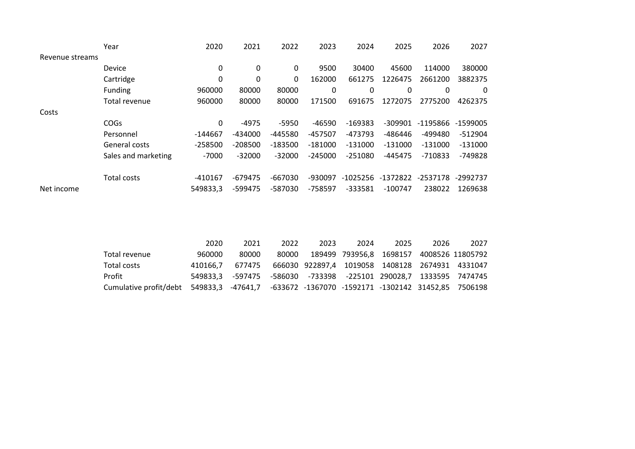|                 | Year                | 2020      | 2021      | 2022         | 2023      | 2024       | 2025         | 2026       | 2027      |
|-----------------|---------------------|-----------|-----------|--------------|-----------|------------|--------------|------------|-----------|
| Revenue streams |                     |           |           |              |           |            |              |            |           |
|                 | Device              | 0         | 0         | $\mathbf{0}$ | 9500      | 30400      | 45600        | 114000     | 380000    |
|                 | Cartridge           | 0         | 0         | 0            | 162000    | 661275     | 1226475      | 2661200    | 3882375   |
|                 | Funding             | 960000    | 80000     | 80000        | 0         | 0          | $\mathbf{0}$ | 0          | 0         |
|                 | Total revenue       | 960000    | 80000     | 80000        | 171500    | 691675     | 1272075      | 2775200    | 4262375   |
| Costs           |                     |           |           |              |           |            |              |            |           |
|                 | COGs                | 0         | $-4975$   | $-5950$      | -46590    | $-169383$  | $-309901$    | -1195866   | -1599005  |
|                 | Personnel           | $-144667$ | -434000   | -445580      | -457507   | -473793    | $-486446$    | -499480    | $-512904$ |
|                 | General costs       | $-258500$ | $-208500$ | $-183500$    | $-181000$ | $-131000$  | $-131000$    | $-131000$  | $-131000$ |
|                 | Sales and marketing | $-7000$   | $-32000$  | $-32000$     | $-245000$ | $-251080$  | $-445475$    | $-710833$  | $-749828$ |
|                 | Total costs         | -410167   | $-679475$ | $-667030$    | -930097   | $-1025256$ | -1372822     | $-2537178$ | -2992737  |
| Net income      |                     | 549833,3  | -599475   | -587030      | -758597   | -333581    | $-100747$    | 238022     | 1269638   |

|                                                                                              | 2020     | 2021                                                              | 2022  | 2023                                            | 2024 | 2025                                     | 2026 | 2027 |
|----------------------------------------------------------------------------------------------|----------|-------------------------------------------------------------------|-------|-------------------------------------------------|------|------------------------------------------|------|------|
| Total revenue                                                                                | 960000   | 80000                                                             | 80000 |                                                 |      | 189499 793956,8 1698157 4008526 11805792 |      |      |
| Total costs                                                                                  | 410166.7 | 677475                                                            |       | 666030 922897,4 1019058 1408128 2674931 4331047 |      |                                          |      |      |
| Profit                                                                                       |          | 549833,3 -597475 -586030 -733398 -225101 290028,7 1333595 7474745 |       |                                                 |      |                                          |      |      |
| Cumulative profit/debt 549833,3 -47641,7 -633672 -1367070 -1592171 -1302142 31452,85 7506198 |          |                                                                   |       |                                                 |      |                                          |      |      |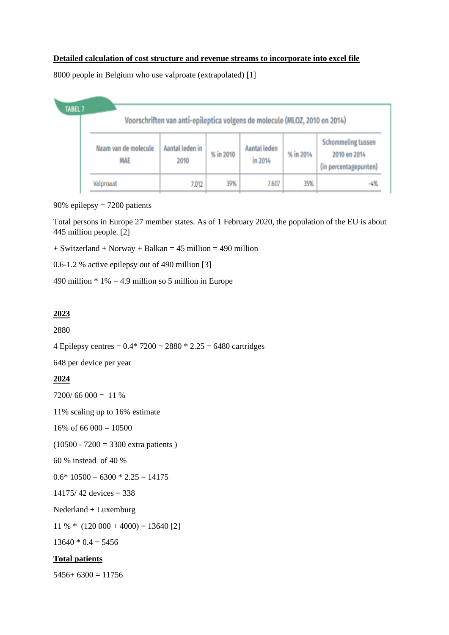## **Detailed calculation of cost structure and revenue streams to incorporate into excel file**

8000 people in Belgium who use valproate (extrapolated) [1]



90% epilepsy = 7200 patients

Total persons in Europe 27 member states. As of 1 February 2020, the population of the EU is about 445 million people. [2]

 $+$  Switzerland  $+$  Norway  $+$  Balkan  $=$  45 million  $=$  490 million

0.6-1.2 % active epilepsy out of 490 million [3]

490 million  $* 1\% = 4.9$  million so 5 million in Europe

## **2023**

2880

4 Epilepsy centres =  $0.4*7200 = 2880 * 2.25 = 6480$  cartridges

648 per device per year

## **2024**

 $7200/66000 = 11%$ 

11% scaling up to 16% estimate

16% of 66 000 = 10500

(10500 - 7200 = 3300 extra patients )

60 % instead of 40 %

 $0.6*10500 = 6300 * 2.25 = 14175$ 

 $14175/42$  devices = 338

Nederland + Luxemburg

 $11 \% * (120\,000 + 4000) = 13640$  [2]

 $13640 * 0.4 = 5456$ 

## **Total patients**

 $5456+6300=11756$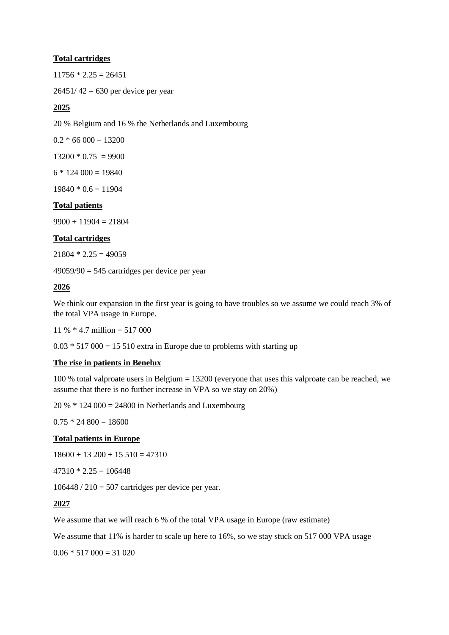## **Total cartridges**

 $11756 * 2.25 = 26451$ 

 $26451/42 = 630$  per device per year

## **2025**

20 % Belgium and 16 % the Netherlands and Luxembourg

 $0.2 * 66 000 = 13200$ 

 $13200 * 0.75 = 9900$ 

 $6 * 124 000 = 19840$ 

 $19840 * 0.6 = 11904$ 

## **Total patients**

 $9900 + 11904 = 21804$ 

## **Total cartridges**

 $21804 * 2.25 = 49059$ 

 $49059/90 = 545$  cartridges per device per year

## **2026**

We think our expansion in the first year is going to have troubles so we assume we could reach 3% of the total VPA usage in Europe.

11 % \* 4.7 million = 517 000

 $0.03 * 517\,000 = 15\,510$  extra in Europe due to problems with starting up

## **The rise in patients in Benelux**

100 % total valproate users in Belgium = 13200 (everyone that uses this valproate can be reached, we assume that there is no further increase in VPA so we stay on 20%)

 $20\% * 124\,000 = 24800$  in Netherlands and Luxembourg

 $0.75 * 24800 = 18600$ 

## **Total patients in Europe**

 $18600 + 13200 + 15510 = 47310$ 

 $47310 * 2.25 = 106448$ 

 $106448 / 210 = 507$  cartridges per device per year.

## **2027**

We assume that we will reach 6 % of the total VPA usage in Europe (raw estimate)

We assume that 11% is harder to scale up here to 16%, so we stay stuck on 517 000 VPA usage

 $0.06 * 517 000 = 31 020$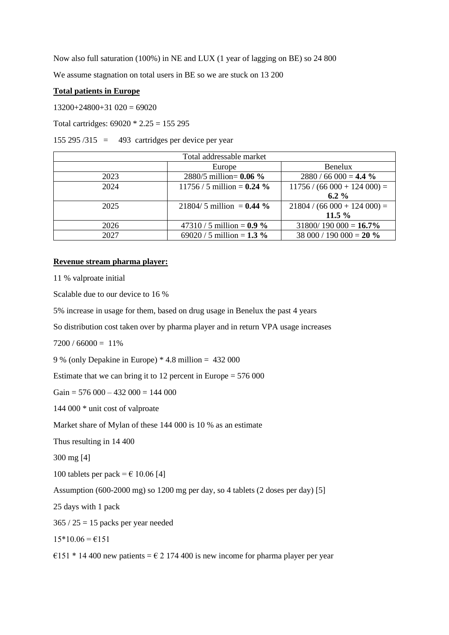Now also full saturation (100%) in NE and LUX (1 year of lagging on BE) so 24 800

We assume stagnation on total users in BE so we are stuck on 13 200

#### **Total patients in Europe**

 $13200+24800+31020=69020$ 

Total cartridges:  $69020 * 2.25 = 155295$ 

155 295 /315 = 493 cartridges per device per year

|      | Total addressable market      |                              |
|------|-------------------------------|------------------------------|
|      | Europe                        | <b>Benelux</b>               |
| 2023 | 2880/5 million= $0.06 \%$     | $2880 / 66000 = 4.4 \%$      |
| 2024 | 11756 / 5 million = $0.24 \%$ | $11756 / (66000 + 124000) =$ |
|      |                               | $6.2\%$                      |
| 2025 | $21804/5$ million = 0.44 %    | $21804 / (66000 + 124000) =$ |
|      |                               | 11.5%                        |
| 2026 | 47310 / 5 million = $0.9\%$   | $31800/190000 = 16.7\%$      |
| 2027 | 69020 / 5 million = $1.3 \%$  | 38 000 / 190 000 = 20 $\%$   |

## **Revenue stream pharma player:**

11 % valproate initial

Scalable due to our device to 16 %

5% increase in usage for them, based on drug usage in Benelux the past 4 years

So distribution cost taken over by pharma player and in return VPA usage increases

 $7200 / 66000 = 11\%$ 

9 % (only Depakine in Europe) \* 4.8 million = 432 000

Estimate that we can bring it to 12 percent in Europe  $= 576 000$ 

Gain =  $576\,000 - 432\,000 = 144\,000$ 

144 000 \* unit cost of valproate

Market share of Mylan of these 144 000 is 10 % as an estimate

Thus resulting in 14 400

300 mg [4]

100 tablets per pack =  $\epsilon$  10.06 [4]

Assumption (600-2000 mg) so 1200 mg per day, so 4 tablets (2 doses per day) [5]

25 days with 1 pack

 $365 / 25 = 15$  packs per year needed

 $15*10.06 = \text{\textsterling}151$ 

€151  $*$  14 400 new patients = € 2 174 400 is new income for pharma player per year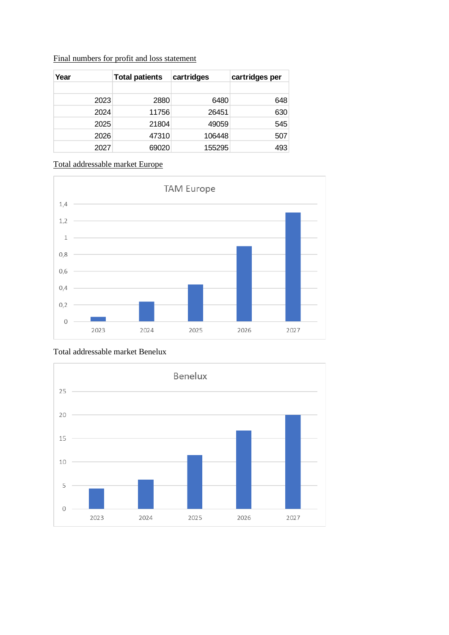| Year | <b>Total patients</b> | cartridges | cartridges per |
|------|-----------------------|------------|----------------|
|      |                       |            |                |
| 2023 | 2880                  | 6480       | 648            |
| 2024 | 11756                 | 26451      | 630            |
| 2025 | 21804                 | 49059      | 545            |
| 2026 | 47310                 | 106448     | 507            |
| 2027 | 69020                 | 155295     | 493            |

## Final numbers for profit and loss statement

# Total addressable market Europe



# Total addressable market Benelux